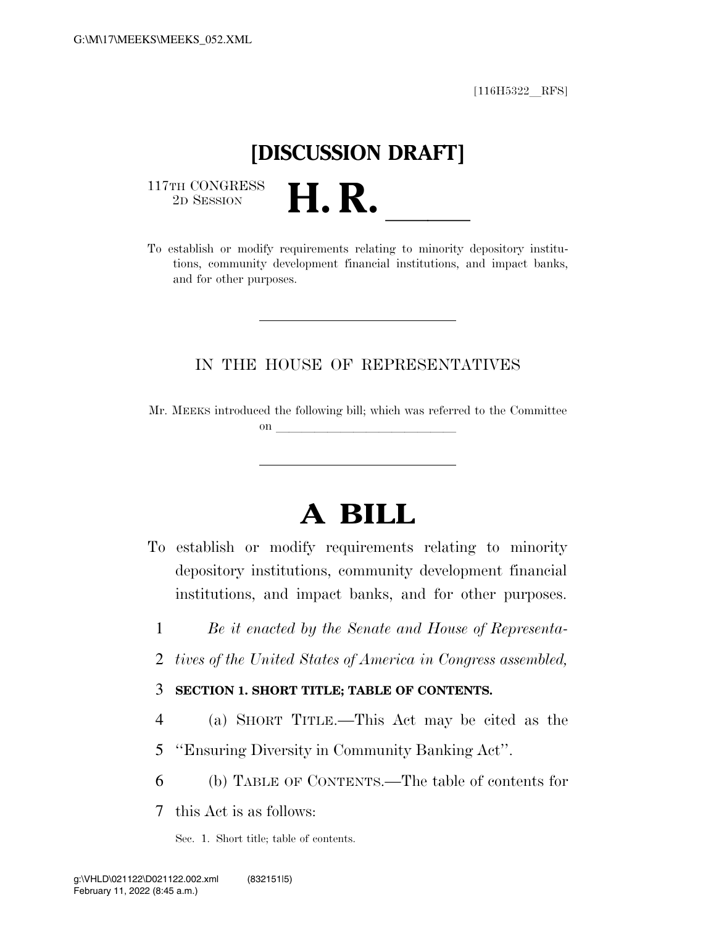$[116H5322$  RFS]

# **[DISCUSSION DRAFT]**

 $\begin{array}{c} \text{117TH CONGRESS} \\ \text{2D SESION} \end{array}$ 

117TH CONGRESS<br>
2D SESSION<br>
To establish or modify requirements relating to minority depository institutions, community development financial institutions, and impact banks, and for other purposes.

### IN THE HOUSE OF REPRESENTATIVES

Mr. MEEKS introduced the following bill; which was referred to the Committee on  $\overline{\qquad \qquad }$ 

# **A BILL**

- To establish or modify requirements relating to minority depository institutions, community development financial institutions, and impact banks, and for other purposes.
	- 1 *Be it enacted by the Senate and House of Representa-*
	- 2 *tives of the United States of America in Congress assembled,*

### 3 **SECTION 1. SHORT TITLE; TABLE OF CONTENTS.**

- 4 (a) SHORT TITLE.—This Act may be cited as the
- 5 ''Ensuring Diversity in Community Banking Act''.
- 6 (b) TABLE OF CONTENTS.—The table of contents for

7 this Act is as follows:

Sec. 1. Short title; table of contents.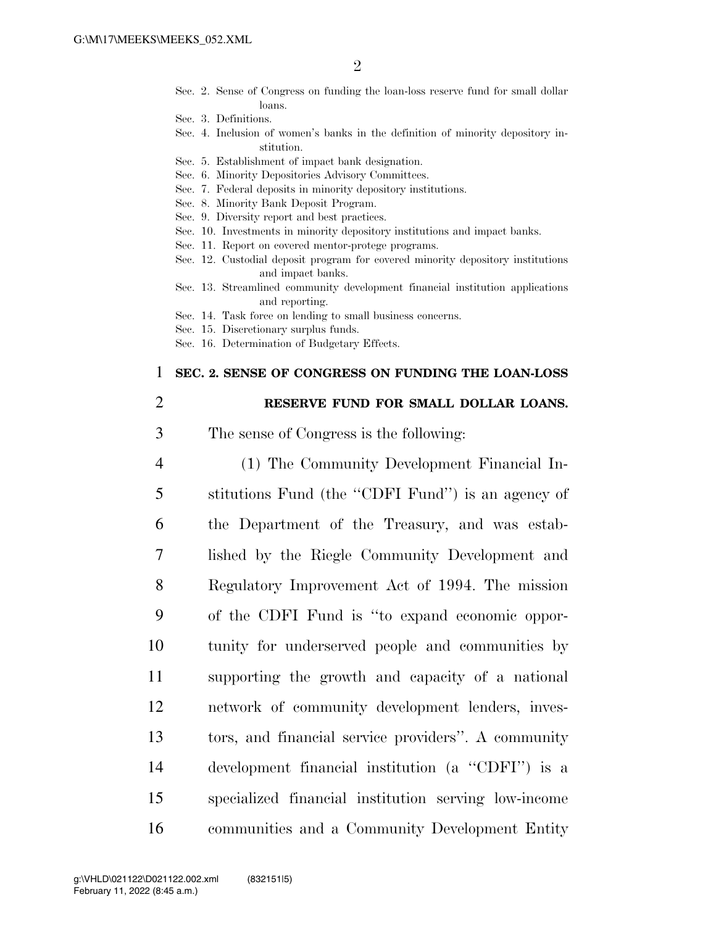- Sec. 2. Sense of Congress on funding the loan-loss reserve fund for small dollar loans.
- Sec. 3. Definitions.
- Sec. 4. Inclusion of women's banks in the definition of minority depository institution.
- Sec. 5. Establishment of impact bank designation.
- Sec. 6. Minority Depositories Advisory Committees.
- Sec. 7. Federal deposits in minority depository institutions.
- Sec. 8. Minority Bank Deposit Program.
- Sec. 9. Diversity report and best practices.
- Sec. 10. Investments in minority depository institutions and impact banks.
- Sec. 11. Report on covered mentor-protege programs.
- Sec. 12. Custodial deposit program for covered minority depository institutions and impact banks.
- Sec. 13. Streamlined community development financial institution applications and reporting.
- Sec. 14. Task force on lending to small business concerns.
- Sec. 15. Discretionary surplus funds.
- Sec. 16. Determination of Budgetary Effects.

#### 1 **SEC. 2. SENSE OF CONGRESS ON FUNDING THE LOAN-LOSS**

#### 2 **RESERVE FUND FOR SMALL DOLLAR LOANS.**

- 3 The sense of Congress is the following:
- 4 (1) The Community Development Financial In-5 stitutions Fund (the ''CDFI Fund'') is an agency of 6 the Department of the Treasury, and was estab-7 lished by the Riegle Community Development and 8 Regulatory Improvement Act of 1994. The mission 9 of the CDFI Fund is ''to expand economic oppor-10 tunity for underserved people and communities by 11 supporting the growth and capacity of a national 12 network of community development lenders, inves-13 tors, and financial service providers''. A community 14 development financial institution (a ''CDFI'') is a 15 specialized financial institution serving low-income 16 communities and a Community Development Entity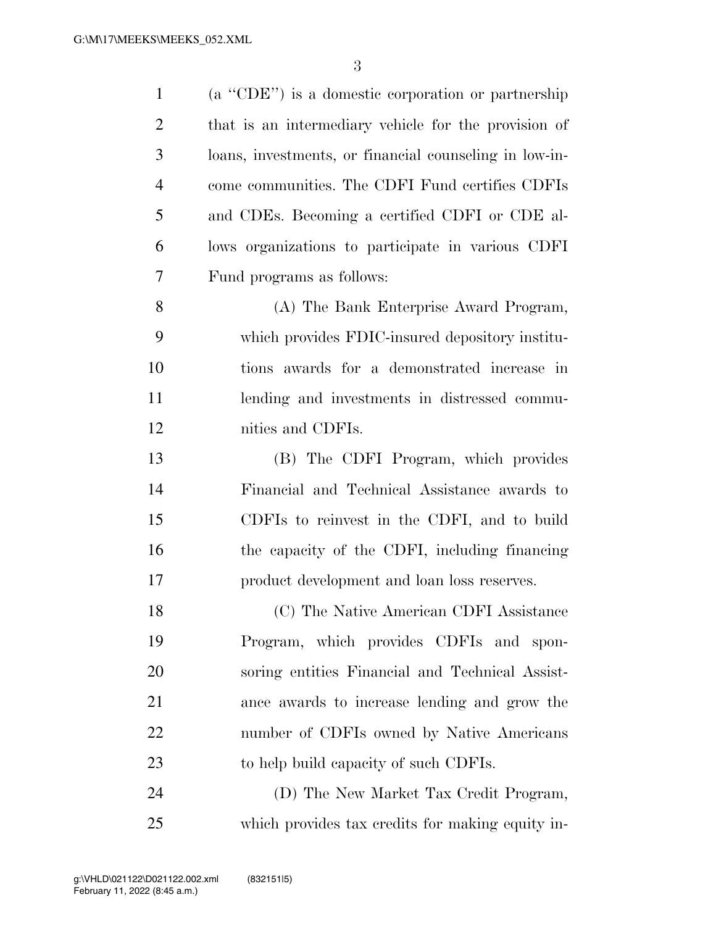| $\mathbf{1}$   | (a "CDE") is a domestic corporation or partnership     |
|----------------|--------------------------------------------------------|
| $\overline{2}$ | that is an intermediary vehicle for the provision of   |
| 3              | loans, investments, or financial counseling in low-in- |
| $\overline{4}$ | come communities. The CDFI Fund certifies CDFIs        |
| 5              | and CDEs. Becoming a certified CDFI or CDE al-         |
| 6              | lows organizations to participate in various CDFI      |
| 7              | Fund programs as follows:                              |
| 8              | (A) The Bank Enterprise Award Program,                 |
| 9              | which provides FDIC-insured depository institu-        |
| 10             | tions awards for a demonstrated increase in            |
| 11             | lending and investments in distressed commu-           |
| 12             | nities and CDFIs.                                      |
| 13             | (B) The CDFI Program, which provides                   |
| 14             | Financial and Technical Assistance awards to           |
| 15             | CDFIs to reinvest in the CDFI, and to build            |
| 16             | the capacity of the CDFI, including financing          |
| 17             | product development and loan loss reserves.            |
| 18             | (C) The Native American CDFI Assistance                |
| 19             | Program, which provides CDFIs and spon-                |
| 20             | soring entities Financial and Technical Assist-        |
| 21             | ance awards to increase lending and grow the           |
| 22             | number of CDFIs owned by Native Americans              |
| 23             | to help build capacity of such CDFIs.                  |
| 24             | (D) The New Market Tax Credit Program,                 |
| 25             | which provides tax credits for making equity in-       |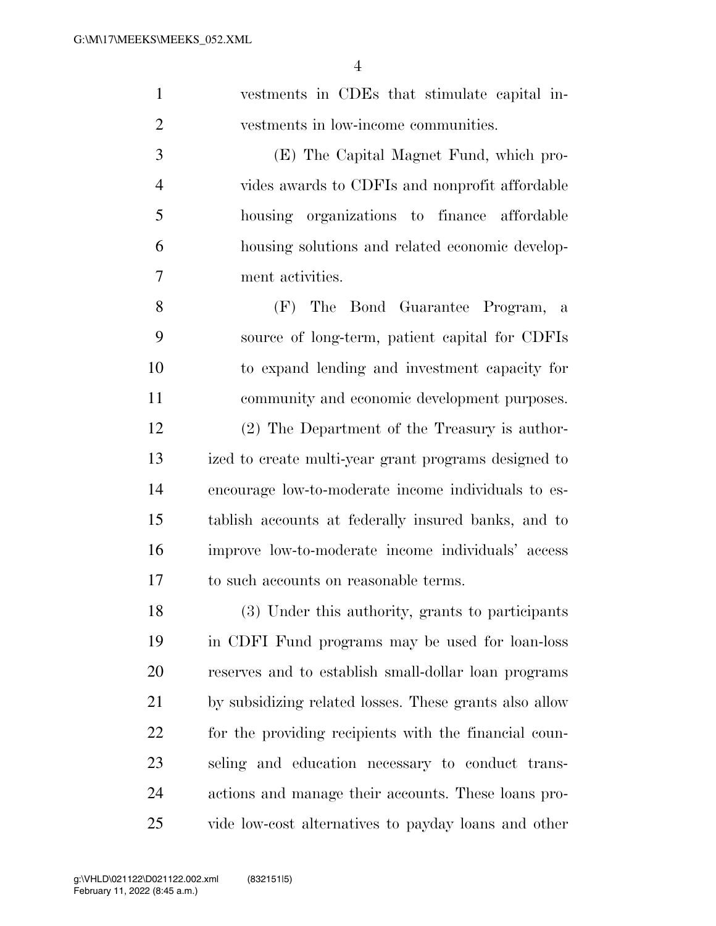| $\mathbf{1}$   | vestments in CDEs that stimulate capital in-    |
|----------------|-------------------------------------------------|
| $\overline{2}$ | vestments in low-income communities.            |
| 3              | (E) The Capital Magnet Fund, which pro-         |
| $\overline{4}$ | vides awards to CDFIs and nonprofit affordable  |
| 5              | housing organizations to finance affordable     |
| 6              | housing solutions and related economic develop- |
| $\overline{7}$ | ment activities.                                |
|                |                                                 |

 (F) The Bond Guarantee Program, a source of long-term, patient capital for CDFIs to expand lending and investment capacity for community and economic development purposes. (2) The Department of the Treasury is author- ized to create multi-year grant programs designed to encourage low-to-moderate income individuals to es- tablish accounts at federally insured banks, and to improve low-to-moderate income individuals' access to such accounts on reasonable terms.

 (3) Under this authority, grants to participants in CDFI Fund programs may be used for loan-loss reserves and to establish small-dollar loan programs by subsidizing related losses. These grants also allow for the providing recipients with the financial coun- seling and education necessary to conduct trans- actions and manage their accounts. These loans pro-vide low-cost alternatives to payday loans and other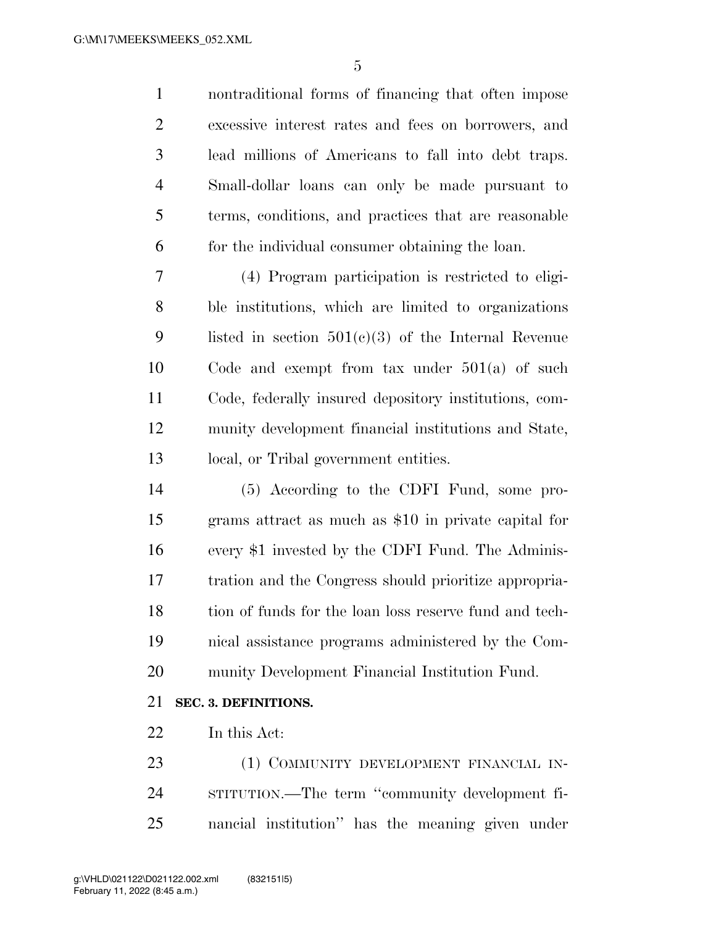nontraditional forms of financing that often impose excessive interest rates and fees on borrowers, and lead millions of Americans to fall into debt traps. Small-dollar loans can only be made pursuant to terms, conditions, and practices that are reasonable for the individual consumer obtaining the loan.

 (4) Program participation is restricted to eligi- ble institutions, which are limited to organizations listed in section 501(c)(3) of the Internal Revenue Code and exempt from tax under 501(a) of such Code, federally insured depository institutions, com- munity development financial institutions and State, local, or Tribal government entities.

 (5) According to the CDFI Fund, some pro- grams attract as much as \$10 in private capital for every \$1 invested by the CDFI Fund. The Adminis- tration and the Congress should prioritize appropria- tion of funds for the loan loss reserve fund and tech- nical assistance programs administered by the Com-munity Development Financial Institution Fund.

### **SEC. 3. DEFINITIONS.**

In this Act:

23 (1) COMMUNITY DEVELOPMENT FINANCIAL IN- STITUTION.—The term ''community development fi-nancial institution'' has the meaning given under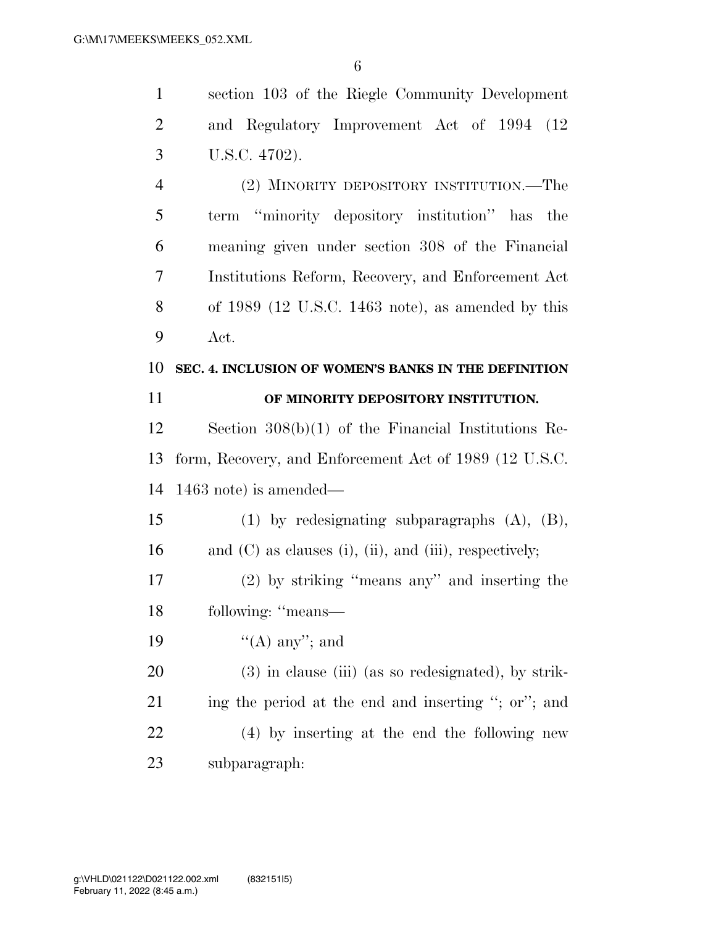section 103 of the Riegle Community Development

| $\overline{2}$ | and Regulatory Improvement Act of 1994 (12)                       |
|----------------|-------------------------------------------------------------------|
| 3              | U.S.C. 4702).                                                     |
| $\overline{4}$ | (2) MINORITY DEPOSITORY INSTITUTION.—The                          |
| 5              | term "minority depository institution" has<br>the                 |
| 6              | meaning given under section 308 of the Financial                  |
| 7              | Institutions Reform, Recovery, and Enforcement Act                |
| 8              | of $1989$ (12 U.S.C. 1463 note), as amended by this               |
| 9              | Act.                                                              |
| 10             | SEC. 4. INCLUSION OF WOMEN'S BANKS IN THE DEFINITION              |
| 11             | OF MINORITY DEPOSITORY INSTITUTION.                               |
| 12             | Section $308(b)(1)$ of the Financial Institutions Re-             |
| 13             | form, Recovery, and Enforcement Act of 1989 (12 U.S.C.            |
| 14             | $1463$ note) is amended—                                          |
| 15             | $(1)$ by redesignating subparagraphs $(A)$ , $(B)$ ,              |
| 16             | and $(C)$ as clauses $(i)$ , $(ii)$ , and $(iii)$ , respectively; |
| 17             | $(2)$ by striking "means any" and inserting the                   |
| 18             | following: "means-                                                |
| 19             | $\lq\lq$ (A) any''; and                                           |
| 20             | $(3)$ in clause (iii) (as so redesignated), by strik-             |
| 21             | ing the period at the end and inserting "; or"; and               |
| 22             | (4) by inserting at the end the following new                     |
| 23             | subparagraph:                                                     |
|                |                                                                   |
|                |                                                                   |
|                |                                                                   |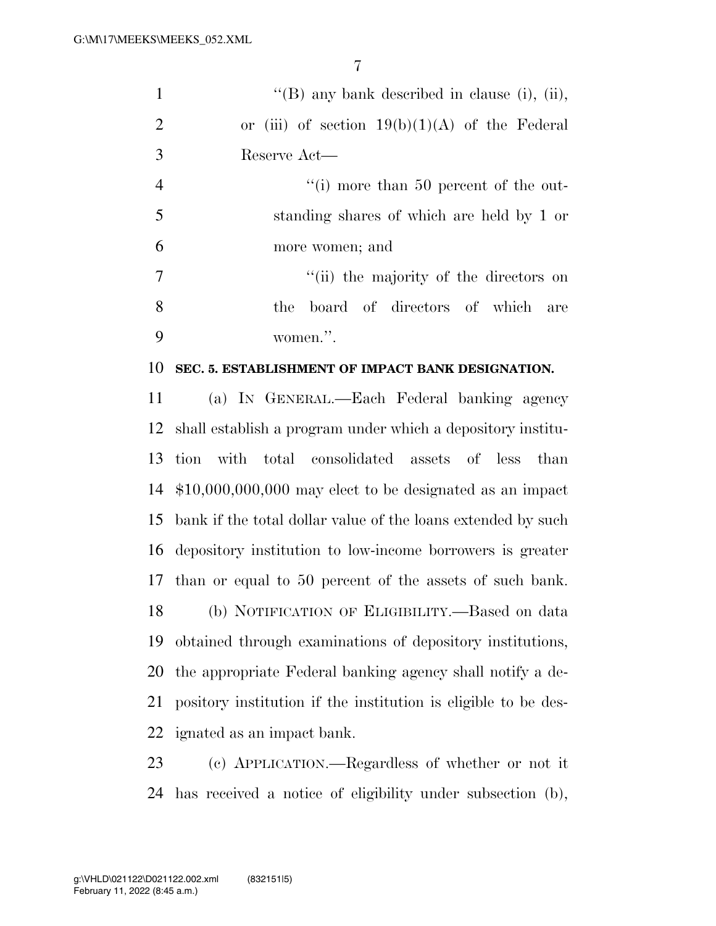| 1              | "(B) any bank described in clause (i), (ii),      |
|----------------|---------------------------------------------------|
| $\overline{2}$ | or (iii) of section $19(b)(1)(A)$ of the Federal  |
| 3              | Reserve Act—                                      |
| $\overline{4}$ | $\lq\lq$ more than 50 percent of the out-         |
| 5              | standing shares of which are held by 1 or         |
| 6              | more women; and                                   |
| 7              | "(ii) the majority of the directors on            |
| 8              | the board of directors of which are               |
| 9              | women.".                                          |
| 10             | SEC. 5. ESTABLISHMENT OF IMPACT BANK DESIGNATION. |
| 11             | (a) IN GENERAL.—Each Federal banking agency       |

 shall establish a program under which a depository institu- tion with total consolidated assets of less than \$10,000,000,000 may elect to be designated as an impact bank if the total dollar value of the loans extended by such depository institution to low-income borrowers is greater than or equal to 50 percent of the assets of such bank. (b) NOTIFICATION OF ELIGIBILITY.—Based on data obtained through examinations of depository institutions, the appropriate Federal banking agency shall notify a de- pository institution if the institution is eligible to be des-ignated as an impact bank.

 (c) APPLICATION.—Regardless of whether or not it has received a notice of eligibility under subsection (b),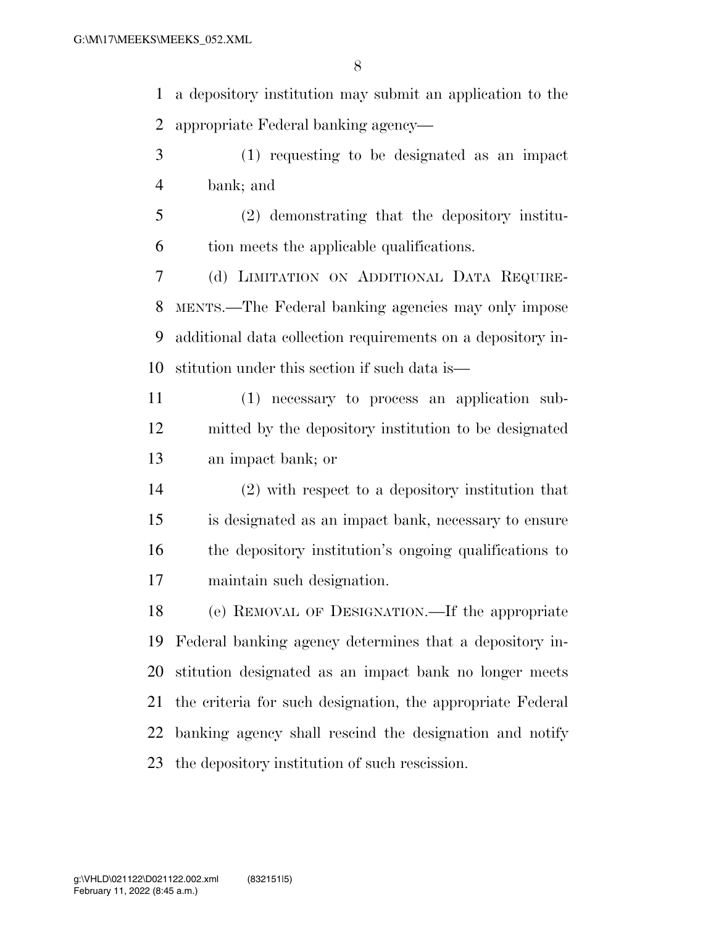a depository institution may submit an application to the appropriate Federal banking agency—

- (1) requesting to be designated as an impact bank; and
- (2) demonstrating that the depository institu-tion meets the applicable qualifications.

 (d) LIMITATION ON ADDITIONAL DATA REQUIRE- MENTS.—The Federal banking agencies may only impose additional data collection requirements on a depository in-stitution under this section if such data is—

- (1) necessary to process an application sub- mitted by the depository institution to be designated an impact bank; or
- (2) with respect to a depository institution that is designated as an impact bank, necessary to ensure the depository institution's ongoing qualifications to maintain such designation.

 (e) REMOVAL OF DESIGNATION.—If the appropriate Federal banking agency determines that a depository in- stitution designated as an impact bank no longer meets the criteria for such designation, the appropriate Federal banking agency shall rescind the designation and notify the depository institution of such rescission.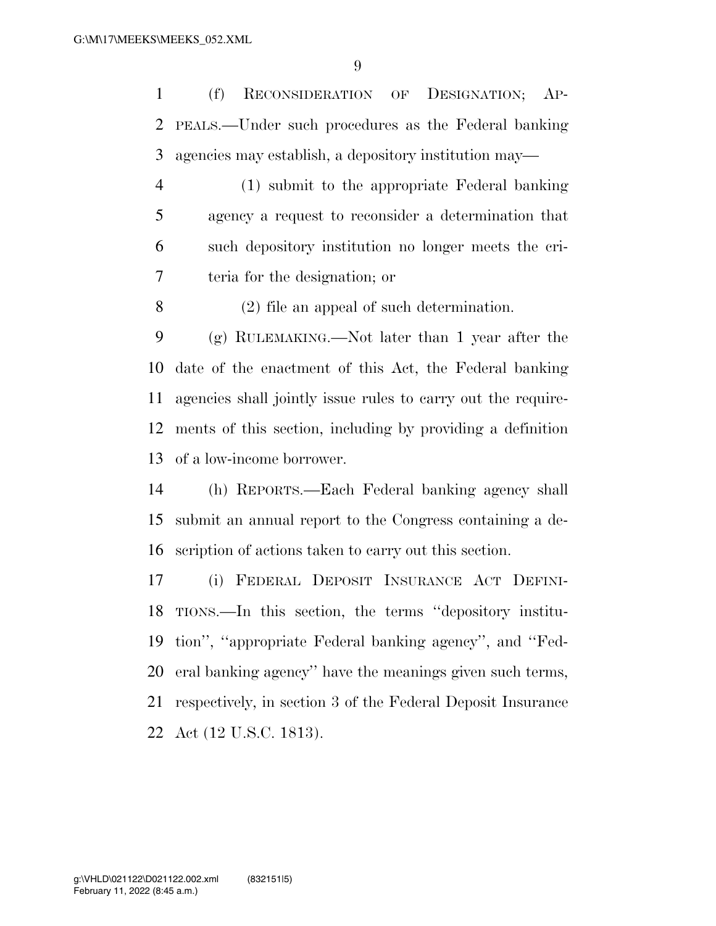(f) RECONSIDERATION OF DESIGNATION; AP- PEALS.—Under such procedures as the Federal banking agencies may establish, a depository institution may—

 (1) submit to the appropriate Federal banking agency a request to reconsider a determination that such depository institution no longer meets the cri-teria for the designation; or

(2) file an appeal of such determination.

 (g) RULEMAKING.—Not later than 1 year after the date of the enactment of this Act, the Federal banking agencies shall jointly issue rules to carry out the require- ments of this section, including by providing a definition of a low-income borrower.

 (h) REPORTS.—Each Federal banking agency shall submit an annual report to the Congress containing a de-scription of actions taken to carry out this section.

 (i) FEDERAL DEPOSIT INSURANCE ACT DEFINI- TIONS.—In this section, the terms ''depository institu- tion'', ''appropriate Federal banking agency'', and ''Fed- eral banking agency'' have the meanings given such terms, respectively, in section 3 of the Federal Deposit Insurance Act (12 U.S.C. 1813).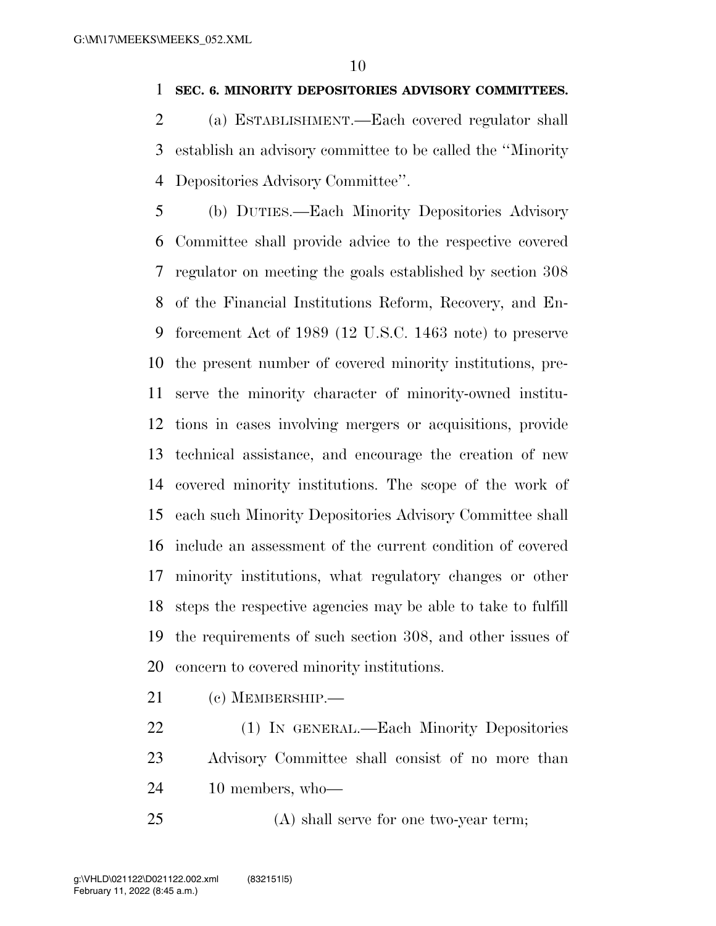#### **SEC. 6. MINORITY DEPOSITORIES ADVISORY COMMITTEES.**

 (a) ESTABLISHMENT.—Each covered regulator shall establish an advisory committee to be called the ''Minority Depositories Advisory Committee''.

 (b) DUTIES.—Each Minority Depositories Advisory Committee shall provide advice to the respective covered regulator on meeting the goals established by section 308 of the Financial Institutions Reform, Recovery, and En- forcement Act of 1989 (12 U.S.C. 1463 note) to preserve the present number of covered minority institutions, pre- serve the minority character of minority-owned institu- tions in cases involving mergers or acquisitions, provide technical assistance, and encourage the creation of new covered minority institutions. The scope of the work of each such Minority Depositories Advisory Committee shall include an assessment of the current condition of covered minority institutions, what regulatory changes or other steps the respective agencies may be able to take to fulfill the requirements of such section 308, and other issues of concern to covered minority institutions.

- (c) MEMBERSHIP.—
- (1) IN GENERAL.—Each Minority Depositories Advisory Committee shall consist of no more than 10 members, who—
- (A) shall serve for one two-year term;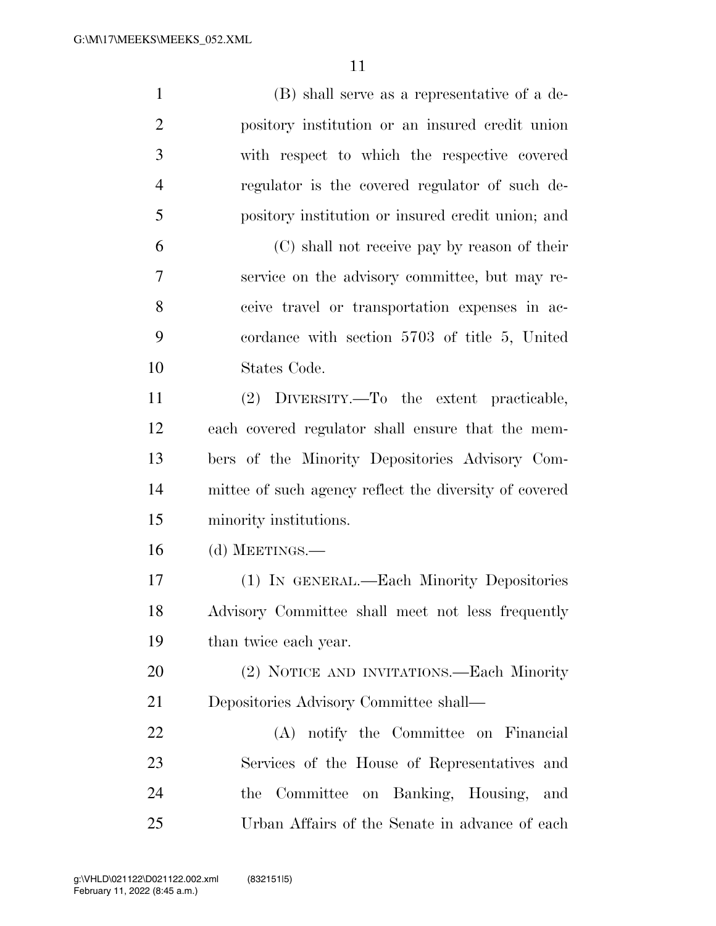| $\mathbf{1}$   | (B) shall serve as a representative of a de-           |
|----------------|--------------------------------------------------------|
| $\overline{2}$ | pository institution or an insured credit union        |
| 3              | with respect to which the respective covered           |
| $\overline{4}$ | regulator is the covered regulator of such de-         |
| 5              | pository institution or insured credit union; and      |
| 6              | (C) shall not receive pay by reason of their           |
| 7              | service on the advisory committee, but may re-         |
| 8              | ceive travel or transportation expenses in ac-         |
| 9              | cordance with section 5703 of title 5, United          |
| 10             | States Code.                                           |
| 11             | (2) DIVERSITY.—To the extent practicable,              |
| 12             | each covered regulator shall ensure that the mem-      |
| 13             | bers of the Minority Depositories Advisory Com-        |
| 14             | mittee of such agency reflect the diversity of covered |
| 15             | minority institutions.                                 |
| 16             | (d) MEETINGS.—                                         |
| 17             | (1) IN GENERAL.—Each Minority Depositories             |
| 18             | Advisory Committee shall meet not less frequently      |
| 19             | than twice each year.                                  |
| 20             | (2) NOTICE AND INVITATIONS.—Each Minority              |
| 21             | Depositories Advisory Committee shall—                 |
| 22             | (A) notify the Committee on Financial                  |
| 23             | Services of the House of Representatives and           |
| 24             | the Committee on Banking, Housing, and                 |
| 25             | Urban Affairs of the Senate in advance of each         |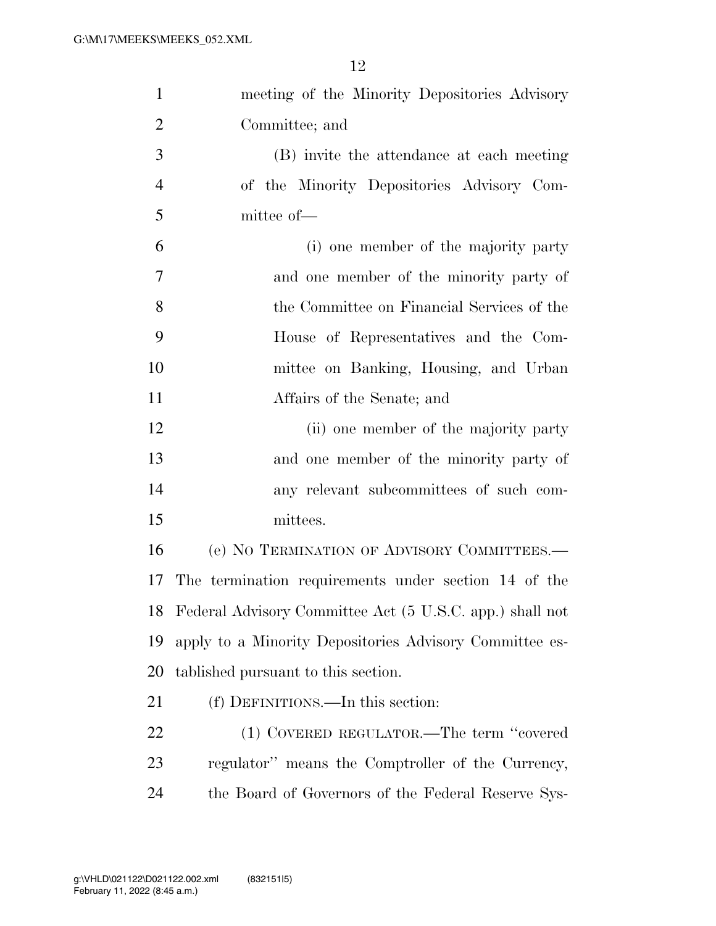| $\mathbf{1}$   | meeting of the Minority Depositories Advisory            |
|----------------|----------------------------------------------------------|
| $\overline{2}$ | Committee; and                                           |
| 3              | (B) invite the attendance at each meeting                |
| $\overline{4}$ | of the Minority Depositories Advisory Com-               |
| 5              | mittee of-                                               |
| 6              | (i) one member of the majority party                     |
| 7              | and one member of the minority party of                  |
| 8              | the Committee on Financial Services of the               |
| 9              | House of Representatives and the Com-                    |
| 10             | mittee on Banking, Housing, and Urban                    |
| 11             | Affairs of the Senate; and                               |
| 12             | (ii) one member of the majority party                    |
| 13             | and one member of the minority party of                  |
| 14             | any relevant subcommittees of such com-                  |
| 15             | mittees.                                                 |
| 16             | (e) NO TERMINATION OF ADVISORY COMMITTEES.—              |
| 17             | The termination requirements under section 14 of the     |
| 18             | Federal Advisory Committee Act (5 U.S.C. app.) shall not |
| 19             | apply to a Minority Depositories Advisory Committee es-  |
| 20             | tablished pursuant to this section.                      |
| 21             | (f) DEFINITIONS.—In this section:                        |
| 22             | (1) COVERED REGULATOR.—The term "covered                 |
| 23             | regulator" means the Comptroller of the Currency,        |
| 24             | the Board of Governors of the Federal Reserve Sys-       |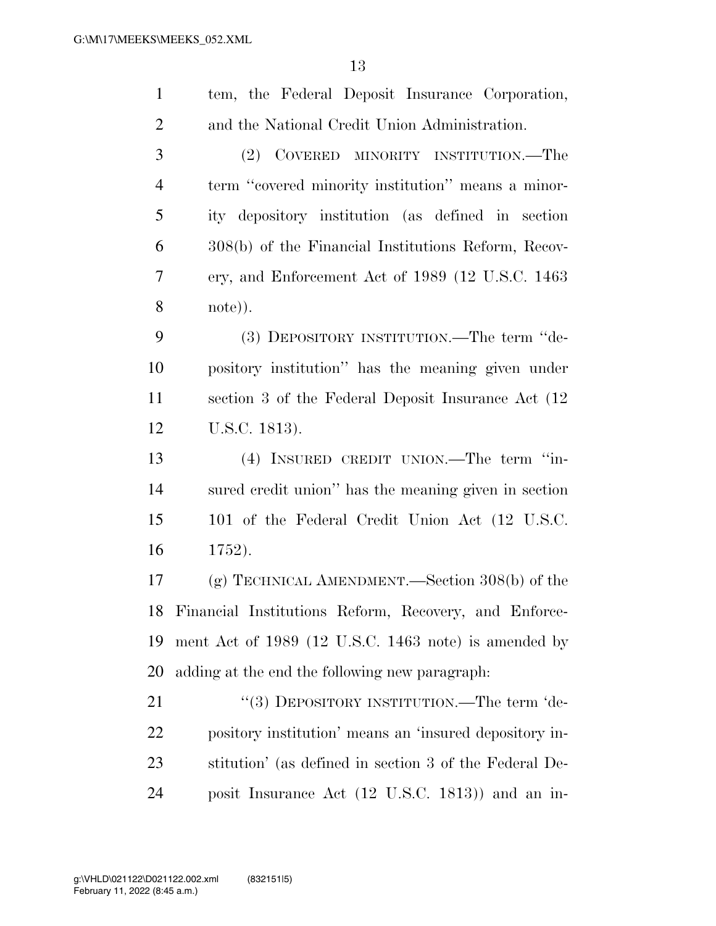| $\mathbf{1}$   | tem, the Federal Deposit Insurance Corporation,        |
|----------------|--------------------------------------------------------|
| $\overline{2}$ | and the National Credit Union Administration.          |
| 3              | (2)<br>COVERED MINORITY INSTITUTION.—The               |
| $\overline{4}$ | term "covered minority institution" means a minor-     |
| 5              | ity depository institution (as defined in section      |
| 6              | 308(b) of the Financial Institutions Reform, Recov-    |
| 7              | ery, and Enforcement Act of 1989 (12 U.S.C. 1463)      |
| 8              | note)).                                                |
| 9              | (3) DEPOSITORY INSTITUTION.—The term "de-              |
| 10             | pository institution" has the meaning given under      |
| 11             | section 3 of the Federal Deposit Insurance Act (12)    |
| 12             | U.S.C. 1813).                                          |
|                |                                                        |
| 13             | (4) INSURED CREDIT UNION.—The term "in-                |
| 14             | sured credit union" has the meaning given in section   |
| 15             | 101 of the Federal Credit Union Act (12 U.S.C.         |
| 16             | 1752).                                                 |
| 17             | $(g)$ TECHNICAL AMENDMENT.—Section 308(b) of the       |
| 18             | Financial Institutions Reform, Recovery, and Enforce-  |
| 19             | ment Act of 1989 (12 U.S.C. 1463 note) is amended by   |
| 20             | adding at the end the following new paragraph:         |
| 21             | "(3) DEPOSITORY INSTITUTION.—The term 'de-             |
| 22             | pository institution' means an 'insured depository in- |
| 23             | stitution' (as defined in section 3 of the Federal De- |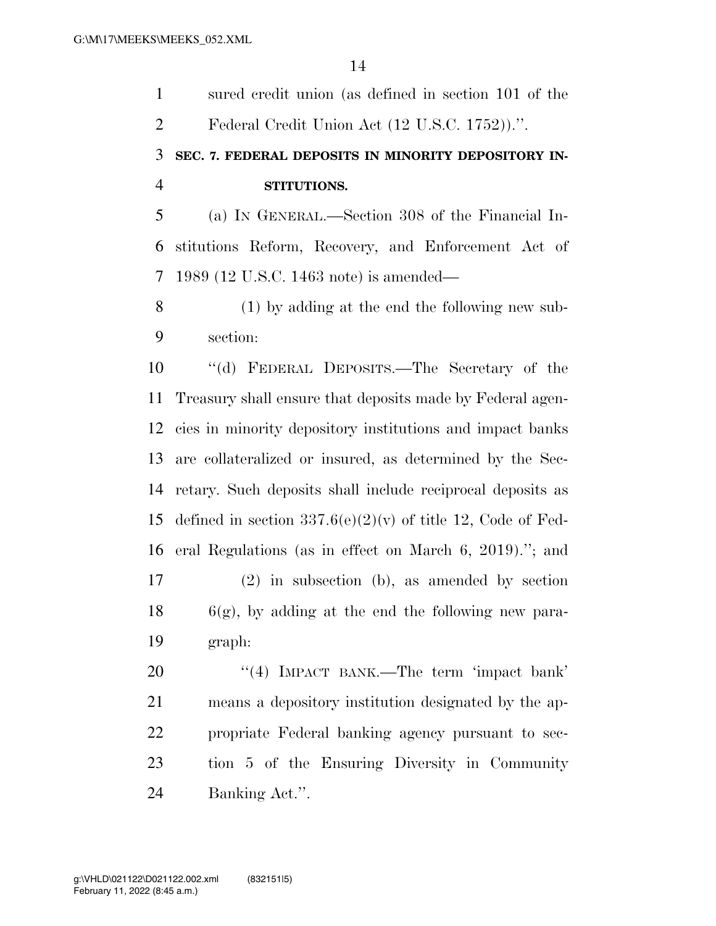sured credit union (as defined in section 101 of the Federal Credit Union Act (12 U.S.C. 1752)).''.

## **SEC. 7. FEDERAL DEPOSITS IN MINORITY DEPOSITORY IN-STITUTIONS.**

 (a) IN GENERAL.—Section 308 of the Financial In- stitutions Reform, Recovery, and Enforcement Act of 1989 (12 U.S.C. 1463 note) is amended—

 (1) by adding at the end the following new sub-section:

 ''(d) FEDERAL DEPOSITS.—The Secretary of the Treasury shall ensure that deposits made by Federal agen- cies in minority depository institutions and impact banks are collateralized or insured, as determined by the Sec- retary. Such deposits shall include reciprocal deposits as 15 defined in section  $337.6(e)(2)(v)$  of title 12, Code of Fed- eral Regulations (as in effect on March 6, 2019).''; and (2) in subsection (b), as amended by section 6(g), by adding at the end the following new para-graph:

20 "(4) IMPACT BANK.—The term 'impact bank' means a depository institution designated by the ap- propriate Federal banking agency pursuant to sec- tion 5 of the Ensuring Diversity in Community Banking Act.''.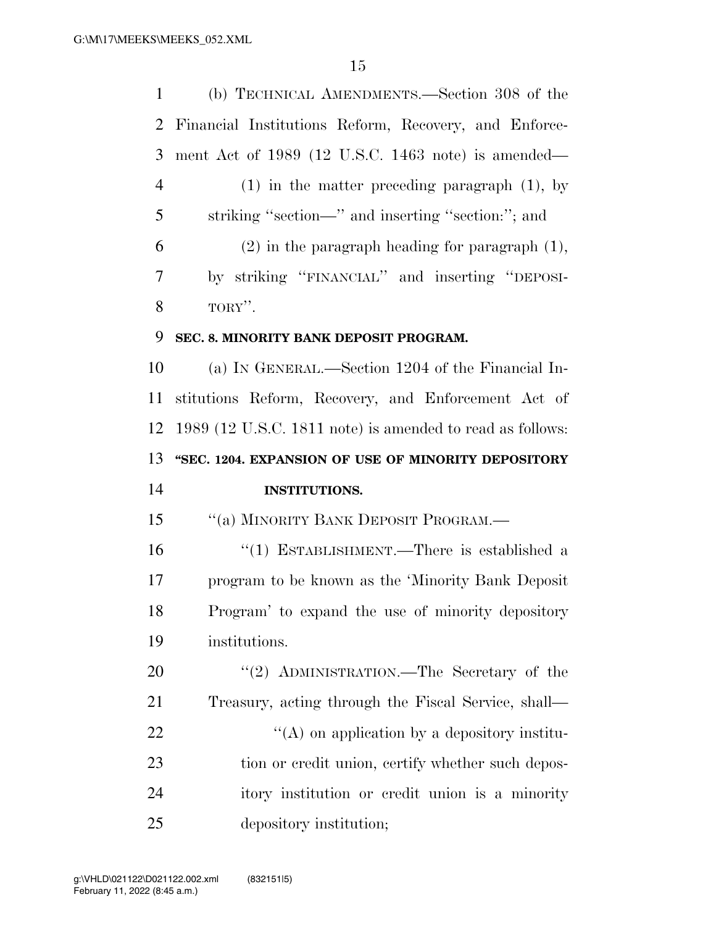(b) TECHNICAL AMENDMENTS.—Section 308 of the Financial Institutions Reform, Recovery, and Enforce- ment Act of 1989 (12 U.S.C. 1463 note) is amended— (1) in the matter preceding paragraph (1), by striking ''section—'' and inserting ''section:''; and (2) in the paragraph heading for paragraph (1), by striking ''FINANCIAL'' and inserting ''DEPOSI- $8 \qquad \qquad \text{TORY}$ ". **SEC. 8. MINORITY BANK DEPOSIT PROGRAM.**  (a) IN GENERAL.—Section 1204 of the Financial In- stitutions Reform, Recovery, and Enforcement Act of 1989 (12 U.S.C. 1811 note) is amended to read as follows: **''SEC. 1204. EXPANSION OF USE OF MINORITY DEPOSITORY INSTITUTIONS.**  15 "(a) MINORITY BANK DEPOSIT PROGRAM.— ''(1) ESTABLISHMENT.—There is established a program to be known as the 'Minority Bank Deposit Program' to expand the use of minority depository institutions. 20 "(2) ADMINISTRATION.—The Secretary of the Treasury, acting through the Fiscal Service, shall—  $\mathcal{L}(A)$  on application by a depository institu-23 tion or credit union, certify whether such depos- itory institution or credit union is a minority depository institution;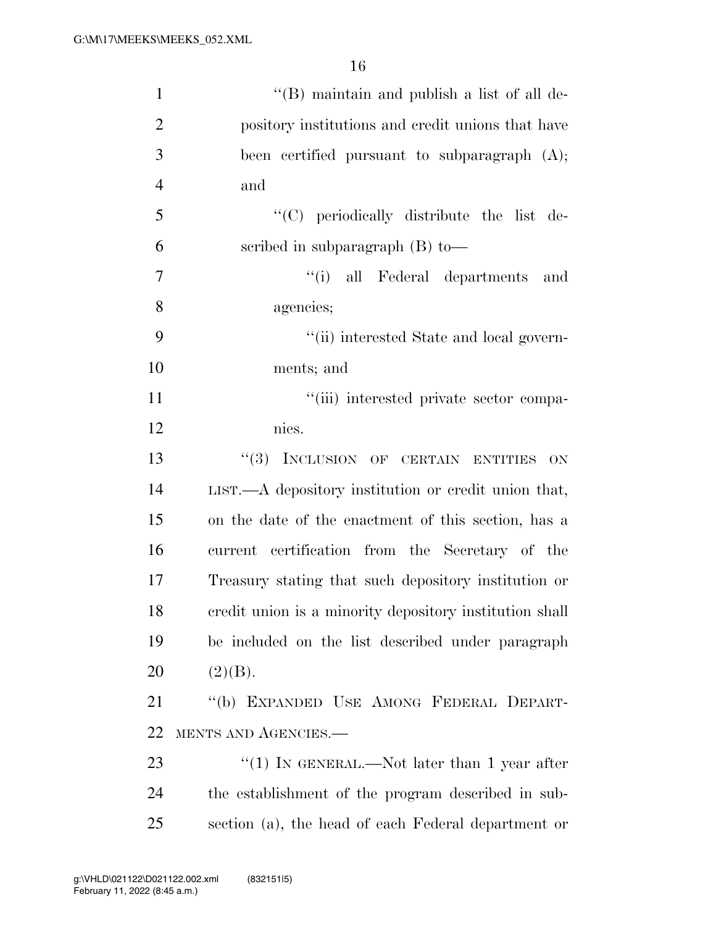| $\mathbf{1}$   | "(B) maintain and publish a list of all de-              |
|----------------|----------------------------------------------------------|
| $\overline{2}$ | pository institutions and credit unions that have        |
| 3              | been certified pursuant to subparagraph $(A)$ ;          |
| $\overline{4}$ | and                                                      |
| 5              | "(C) periodically distribute the list de-                |
| 6              | scribed in subparagraph $(B)$ to —                       |
| $\overline{7}$ | "(i) all Federal departments and                         |
| 8              | agencies;                                                |
| 9              | "(ii) interested State and local govern-                 |
| 10             | ments; and                                               |
| 11             | "(iii) interested private sector compa-                  |
| 12             | nies.                                                    |
| 13             | "(3) INCLUSION OF CERTAIN ENTITIES<br><b>ON</b>          |
| 14             | $LIST. - A$ depository institution or credit union that, |
| 15             | on the date of the enactment of this section, has a      |
| 16             | current certification from the Secretary of the          |
| 17             | Treasury stating that such depository institution or     |
| 18             | credit union is a minority depository institution shall  |
| 19             | be included on the list described under paragraph        |
| 20             | (2)(B).                                                  |
| 21             | "(b) EXPANDED USE AMONG FEDERAL DEPART-                  |
| 22             | MENTS AND AGENCIES.-                                     |
| 23             | "(1) IN GENERAL.—Not later than 1 year after             |
| 24             | the establishment of the program described in sub-       |
| 25             | section (a), the head of each Federal department or      |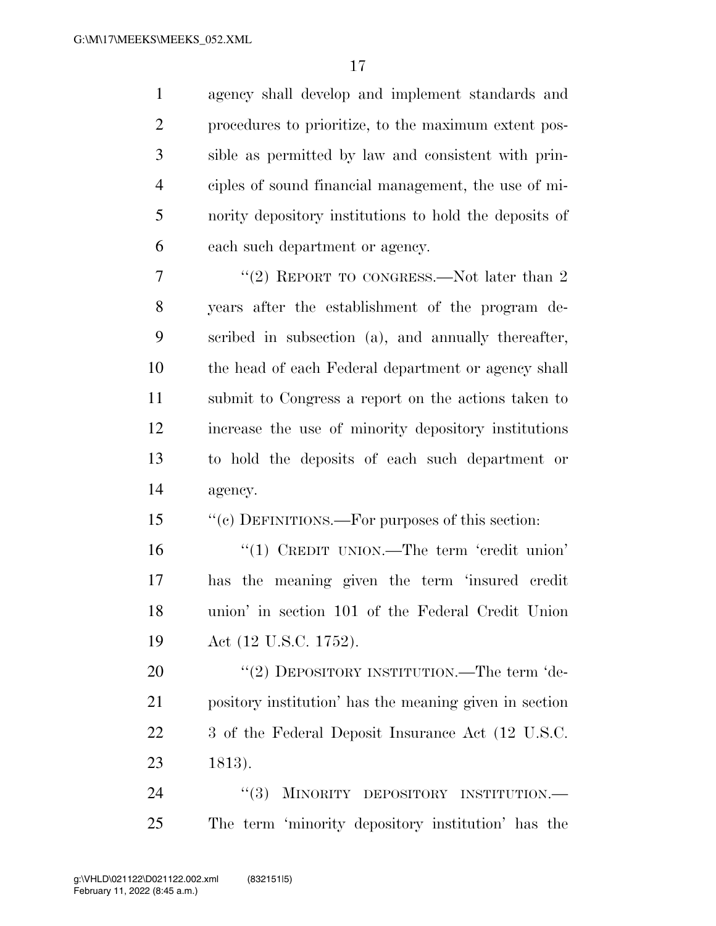agency shall develop and implement standards and procedures to prioritize, to the maximum extent pos- sible as permitted by law and consistent with prin- ciples of sound financial management, the use of mi- nority depository institutions to hold the deposits of each such department or agency.

7 "(2) REPORT TO CONGRESS.—Not later than 2 years after the establishment of the program de- scribed in subsection (a), and annually thereafter, the head of each Federal department or agency shall submit to Congress a report on the actions taken to increase the use of minority depository institutions to hold the deposits of each such department or agency.

15 "(c) DEFINITIONS.—For purposes of this section:

16 '(1) CREDIT UNION.—The term 'credit union' has the meaning given the term 'insured credit union' in section 101 of the Federal Credit Union Act (12 U.S.C. 1752).

20 "(2) DEPOSITORY INSTITUTION.—The term 'de- pository institution' has the meaning given in section 3 of the Federal Deposit Insurance Act (12 U.S.C. 1813).

24 "(3) MINORITY DEPOSITORY INSTITUTION.— The term 'minority depository institution' has the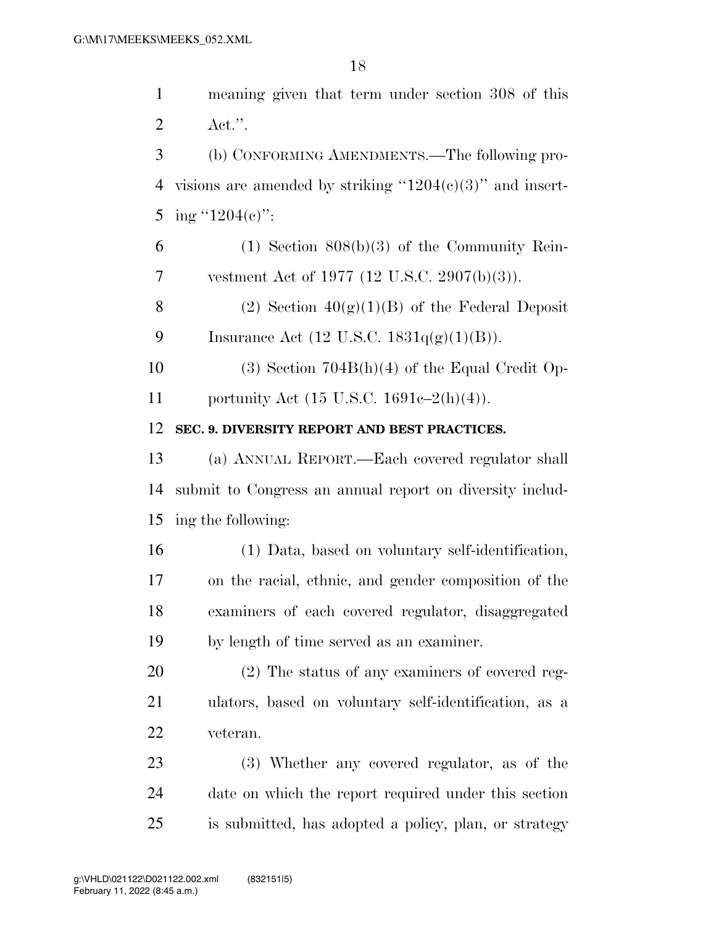meaning given that term under section 308 of this Act.''. (b) CONFORMING AMENDMENTS.—The following pro-4 visions are amended by striking " $1204(c)(3)$ " and insert-5 ing "1204(c)":  $6 \qquad (1)$  Section  $808(b)(3)$  of the Community Rein- vestment Act of 1977 (12 U.S.C. 2907(b)(3)). 8 (2) Section  $40(g)(1)(B)$  of the Federal Deposit 9 Insurance Act  $(12 \text{ U.S.C. } 1831q(g)(1)(B)).$  (3) Section 704B(h)(4) of the Equal Credit Op- portunity Act (15 U.S.C. 1691c–2(h)(4)). **SEC. 9. DIVERSITY REPORT AND BEST PRACTICES.**  (a) ANNUAL REPORT.—Each covered regulator shall submit to Congress an annual report on diversity includ- ing the following: (1) Data, based on voluntary self-identification, on the racial, ethnic, and gender composition of the examiners of each covered regulator, disaggregated by length of time served as an examiner. (2) The status of any examiners of covered reg- ulators, based on voluntary self-identification, as a veteran. (3) Whether any covered regulator, as of the date on which the report required under this section

is submitted, has adopted a policy, plan, or strategy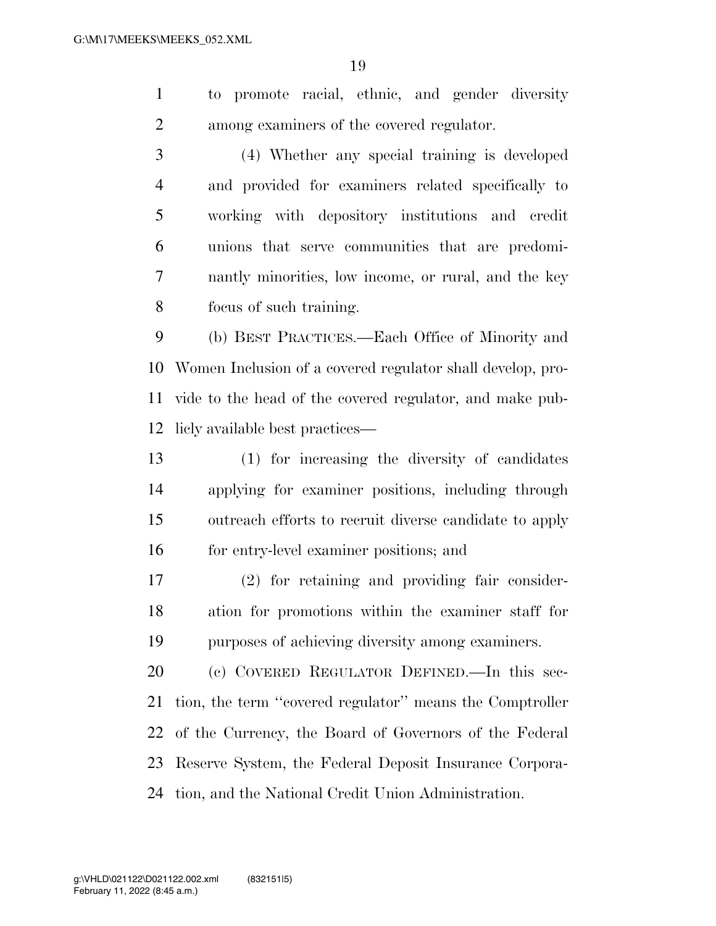to promote racial, ethnic, and gender diversity among examiners of the covered regulator.

 (4) Whether any special training is developed and provided for examiners related specifically to working with depository institutions and credit unions that serve communities that are predomi- nantly minorities, low income, or rural, and the key focus of such training.

 (b) BEST PRACTICES.—Each Office of Minority and Women Inclusion of a covered regulator shall develop, pro- vide to the head of the covered regulator, and make pub-licly available best practices—

 (1) for increasing the diversity of candidates applying for examiner positions, including through outreach efforts to recruit diverse candidate to apply for entry-level examiner positions; and

 (2) for retaining and providing fair consider- ation for promotions within the examiner staff for purposes of achieving diversity among examiners.

 (c) COVERED REGULATOR DEFINED.—In this sec- tion, the term ''covered regulator'' means the Comptroller of the Currency, the Board of Governors of the Federal Reserve System, the Federal Deposit Insurance Corpora-tion, and the National Credit Union Administration.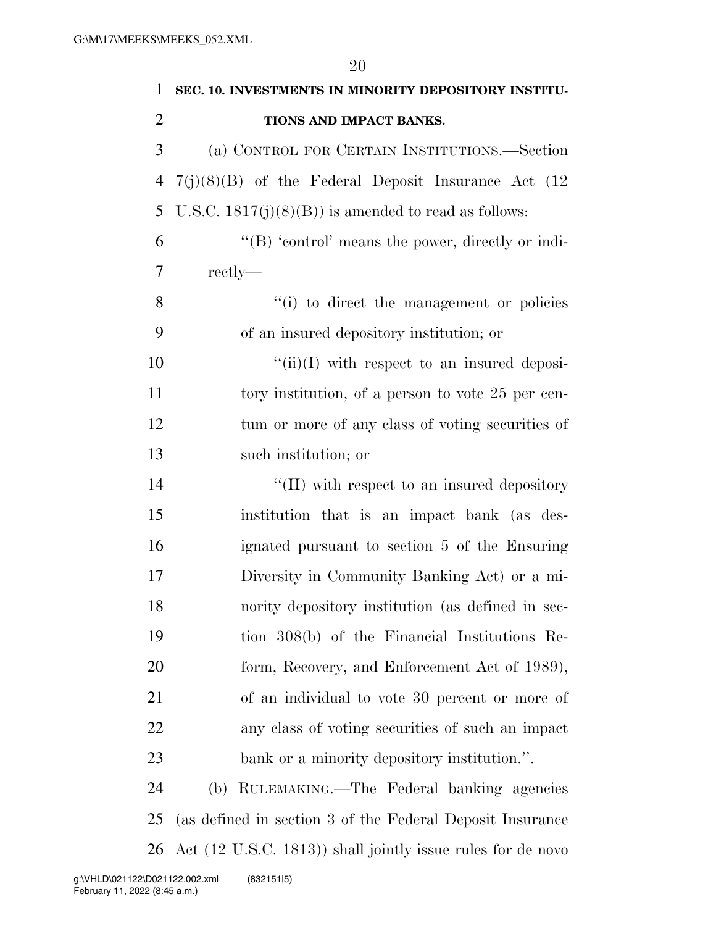| 1              | SEC. 10. INVESTMENTS IN MINORITY DEPOSITORY INSTITU-        |
|----------------|-------------------------------------------------------------|
| $\overline{2}$ | TIONS AND IMPACT BANKS.                                     |
| 3              | (a) CONTROL FOR CERTAIN INSTITUTIONS.—Section               |
| 4              | $7(j)(8)(B)$ of the Federal Deposit Insurance Act (12)      |
| 5              | U.S.C. $1817(j)(8)(B)$ is amended to read as follows:       |
| 6              | " $(B)$ 'control' means the power, directly or indi-        |
| 7              | rectly—                                                     |
| 8              | "(i) to direct the management or policies                   |
| 9              | of an insured depository institution; or                    |
| 10             | $\lq\lq$ (ii)(I) with respect to an insured deposi-         |
| 11             | tory institution, of a person to vote 25 per cen-           |
| 12             | tum or more of any class of voting securities of            |
| 13             | such institution; or                                        |
| 14             | "(II) with respect to an insured depository                 |
| 15             | institution that is an impact bank (as des-                 |
| 16             | ignated pursuant to section 5 of the Ensuring               |
| 17             | Diversity in Community Banking Act) or a mi-                |
| 18             | nority depository institution (as defined in sec-           |
| 19             | tion 308(b) of the Financial Institutions Re-               |
| 20             | form, Recovery, and Enforcement Act of 1989),               |
| 21             | of an individual to vote 30 percent or more of              |
| 22             | any class of voting securities of such an impact            |
| 23             | bank or a minority depository institution.".                |
| 24             | RULEMAKING.—The Federal banking agencies<br>(b)             |
| 25             | (as defined in section 3 of the Federal Deposit Insurance   |
| 26             | Act (12 U.S.C. 1813)) shall jointly issue rules for de novo |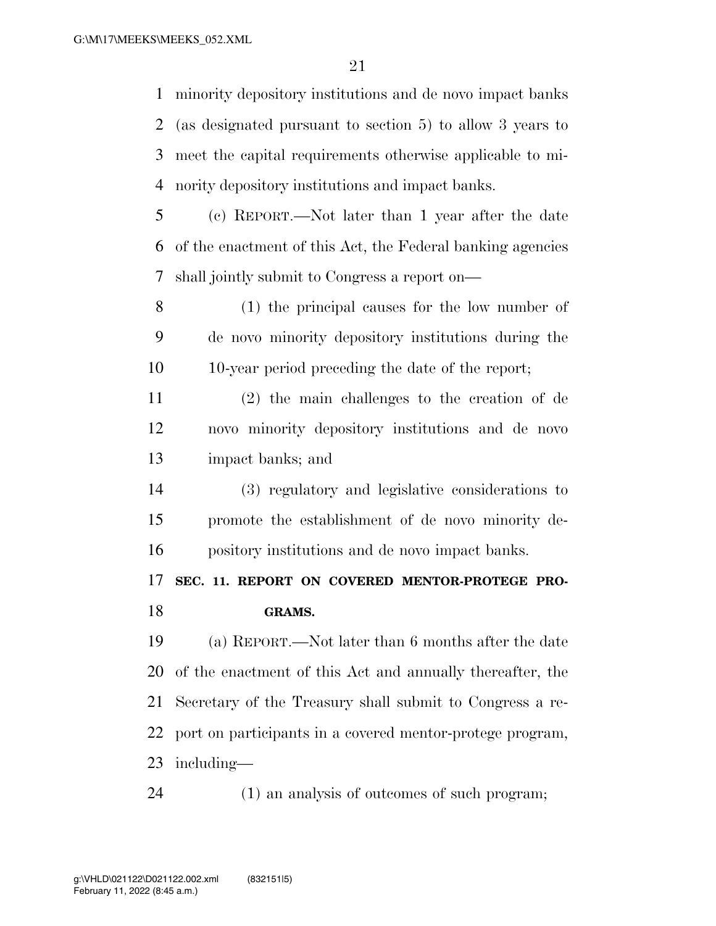minority depository institutions and de novo impact banks (as designated pursuant to section 5) to allow 3 years to meet the capital requirements otherwise applicable to mi-nority depository institutions and impact banks.

 (c) REPORT.—Not later than 1 year after the date of the enactment of this Act, the Federal banking agencies shall jointly submit to Congress a report on—

 (1) the principal causes for the low number of de novo minority depository institutions during the 10-year period preceding the date of the report;

 (2) the main challenges to the creation of de novo minority depository institutions and de novo impact banks; and

 (3) regulatory and legislative considerations to promote the establishment of de novo minority de-pository institutions and de novo impact banks.

 **SEC. 11. REPORT ON COVERED MENTOR-PROTEGE PRO-GRAMS.** 

 (a) REPORT.—Not later than 6 months after the date of the enactment of this Act and annually thereafter, the Secretary of the Treasury shall submit to Congress a re- port on participants in a covered mentor-protege program, including—

(1) an analysis of outcomes of such program;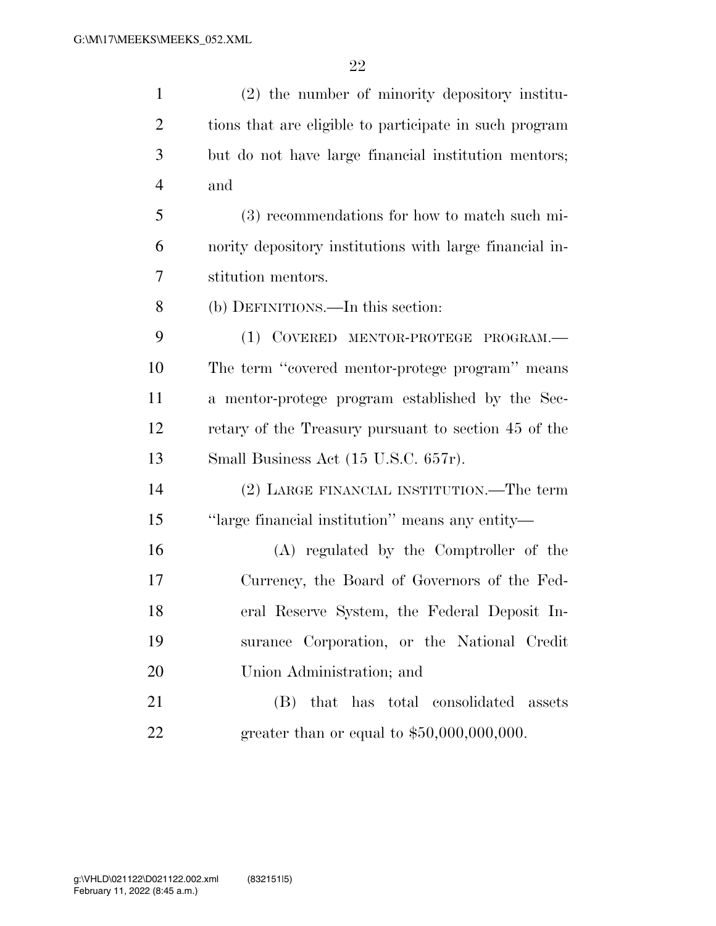| $\mathbf{1}$   | (2) the number of minority depository institu-          |
|----------------|---------------------------------------------------------|
| $\overline{2}$ | tions that are eligible to participate in such program  |
| 3              | but do not have large financial institution mentors;    |
| $\overline{4}$ | and                                                     |
| 5              | (3) recommendations for how to match such mi-           |
| 6              | nority depository institutions with large financial in- |
| 7              | stitution mentors.                                      |
| 8              | (b) DEFINITIONS.—In this section:                       |
| 9              | (1) COVERED MENTOR-PROTEGE PROGRAM.-                    |
| 10             | The term "covered mentor-protege program" means         |
| 11             | a mentor-protege program established by the Sec-        |
| 12             | retary of the Treasury pursuant to section 45 of the    |
| 13             | Small Business Act (15 U.S.C. 657r).                    |
| 14             | (2) LARGE FINANCIAL INSTITUTION.—The term               |
| 15             | "large financial institution" means any entity-         |
| 16             | (A) regulated by the Comptroller of the                 |
| 17             | Currency, the Board of Governors of the Fed-            |
| 18             | eral Reserve System, the Federal Deposit In-            |
| 19             | surance Corporation, or the National Credit             |
| 20             | Union Administration; and                               |
| 21             | that has total consolidated assets<br>(B)               |
| 22             | greater than or equal to $$50,000,000,000$ .            |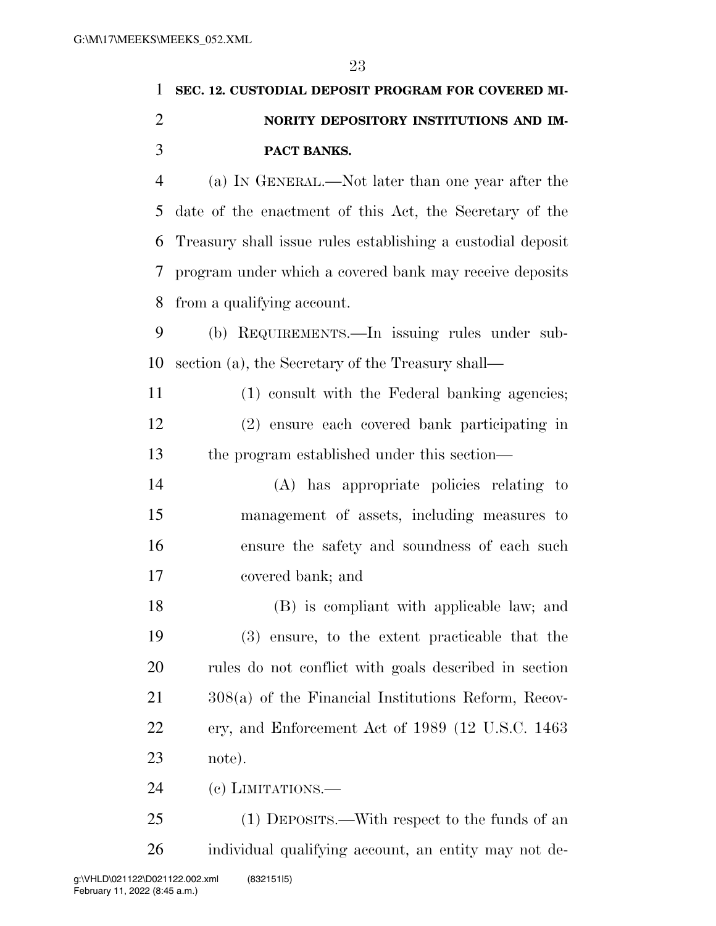## **SEC. 12. CUSTODIAL DEPOSIT PROGRAM FOR COVERED MI- NORITY DEPOSITORY INSTITUTIONS AND IM- PACT BANKS.**  (a) IN GENERAL.—Not later than one year after the date of the enactment of this Act, the Secretary of the Treasury shall issue rules establishing a custodial deposit

 program under which a covered bank may receive deposits from a qualifying account.

 (b) REQUIREMENTS.—In issuing rules under sub-section (a), the Secretary of the Treasury shall—

 (1) consult with the Federal banking agencies; (2) ensure each covered bank participating in the program established under this section—

 (A) has appropriate policies relating to management of assets, including measures to ensure the safety and soundness of each such covered bank; and

 (B) is compliant with applicable law; and (3) ensure, to the extent practicable that the rules do not conflict with goals described in section 308(a) of the Financial Institutions Reform, Recov- ery, and Enforcement Act of 1989 (12 U.S.C. 1463 note).

(c) LIMITATIONS.—

 (1) DEPOSITS.—With respect to the funds of an individual qualifying account, an entity may not de-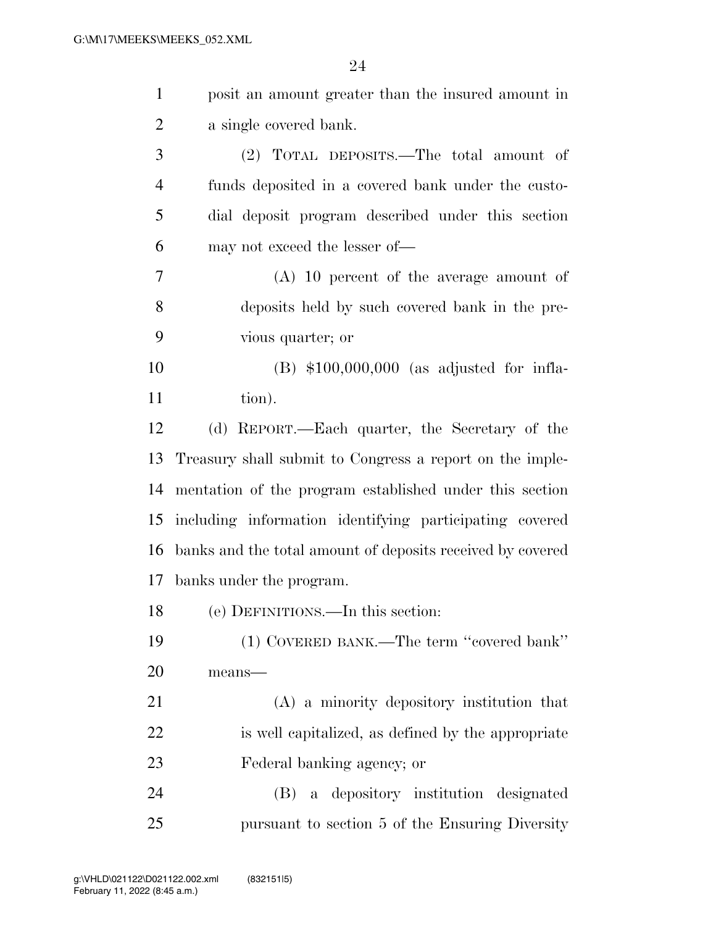| $\mathbf{1}$   | posit an amount greater than the insured amount in         |
|----------------|------------------------------------------------------------|
| $\overline{2}$ | a single covered bank.                                     |
| 3              | (2) TOTAL DEPOSITS.—The total amount of                    |
| $\overline{4}$ | funds deposited in a covered bank under the custo-         |
| 5              | dial deposit program described under this section          |
| 6              | may not exceed the lesser of—                              |
| 7              | $(A)$ 10 percent of the average amount of                  |
| 8              | deposits held by such covered bank in the pre-             |
| 9              | vious quarter; or                                          |
| 10             | $(B)$ \$100,000,000 (as adjusted for infla-                |
| 11             | tion).                                                     |
| 12             | (d) REPORT.—Each quarter, the Secretary of the             |
| 13             | Treasury shall submit to Congress a report on the imple-   |
| 14             | mentation of the program established under this section    |
| 15             | including information identifying participating covered    |
| 16             | banks and the total amount of deposits received by covered |
| 17             | banks under the program.                                   |
| 18             | (e) DEFINITIONS.—In this section:                          |
| 19             | (1) COVERED BANK.—The term "covered bank"                  |
| 20             | means-                                                     |
| 21             | (A) a minority depository institution that                 |
| 22             | is well capitalized, as defined by the appropriate         |
| 23             | Federal banking agency; or                                 |
| 24             | a depository institution designated<br>(B)                 |
| 25             | pursuant to section 5 of the Ensuring Diversity            |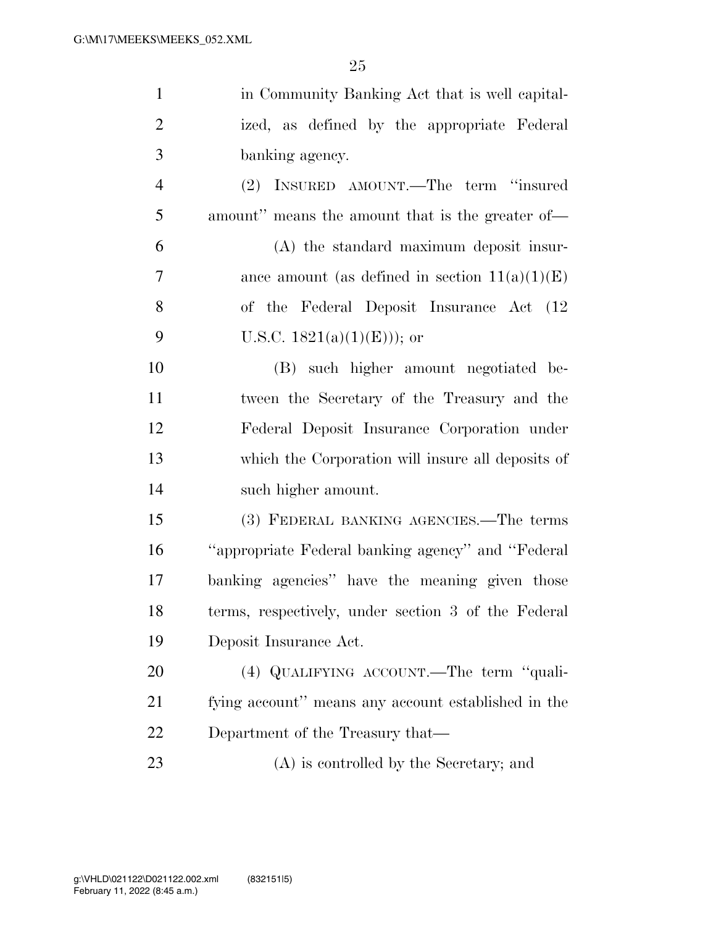| $\mathbf{1}$   | in Community Banking Act that is well capital-      |
|----------------|-----------------------------------------------------|
| $\overline{2}$ | ized, as defined by the appropriate Federal         |
| 3              | banking agency.                                     |
| $\overline{4}$ | (2) INSURED AMOUNT.—The term "insured               |
| 5              | amount" means the amount that is the greater of-    |
| 6              | (A) the standard maximum deposit insur-             |
| 7              | ance amount (as defined in section $11(a)(1)(E)$ )  |
| 8              | of the Federal Deposit Insurance Act (12)           |
| 9              | U.S.C. $1821(a)(1)(E))$ ; or                        |
| 10             | (B) such higher amount negotiated be-               |
| 11             | tween the Secretary of the Treasury and the         |
| 12             | Federal Deposit Insurance Corporation under         |
| 13             | which the Corporation will insure all deposits of   |
| 14             | such higher amount.                                 |
| 15             | (3) FEDERAL BANKING AGENCIES.—The terms             |
| 16             | "appropriate Federal banking agency" and "Federal   |
| 17             | banking agencies" have the meaning given those      |
| 18             | terms, respectively, under section 3 of the Federal |
| 19             | Deposit Insurance Act.                              |
| 20             | (4) QUALIFYING ACCOUNT. The term "quali-            |
| 21             | fying account" means any account established in the |
| 22             | Department of the Treasury that—                    |
|                |                                                     |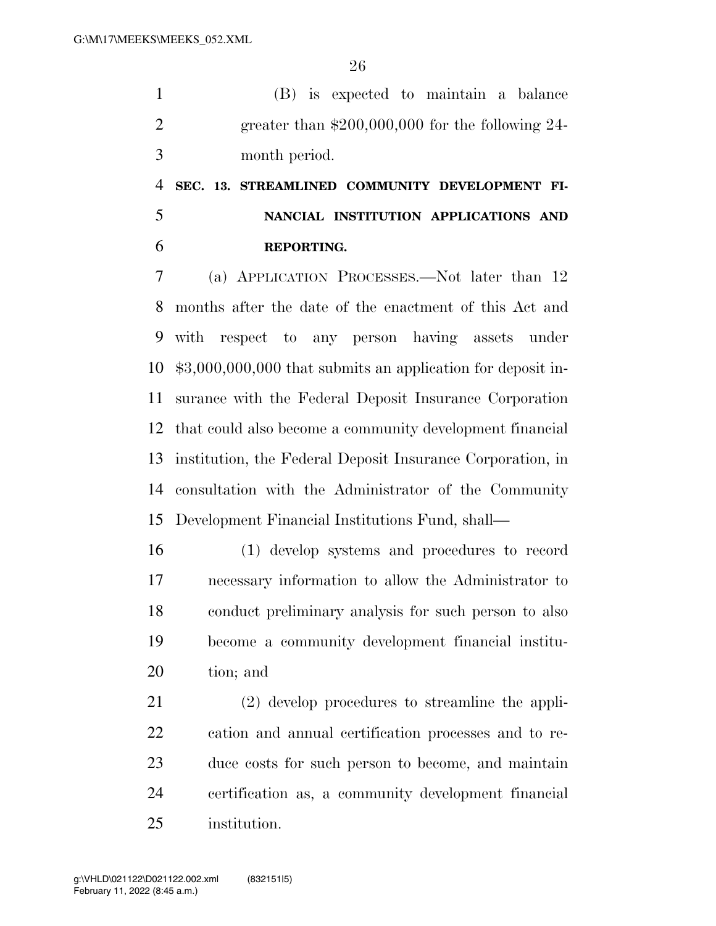(B) is expected to maintain a balance greater than \$200,000,000 for the following 24- month period.

## **SEC. 13. STREAMLINED COMMUNITY DEVELOPMENT FI- NANCIAL INSTITUTION APPLICATIONS AND REPORTING.**

 (a) APPLICATION PROCESSES.—Not later than 12 months after the date of the enactment of this Act and with respect to any person having assets under \$3,000,000,000 that submits an application for deposit in- surance with the Federal Deposit Insurance Corporation that could also become a community development financial institution, the Federal Deposit Insurance Corporation, in consultation with the Administrator of the Community Development Financial Institutions Fund, shall—

 (1) develop systems and procedures to record necessary information to allow the Administrator to conduct preliminary analysis for such person to also become a community development financial institu-tion; and

 (2) develop procedures to streamline the appli- cation and annual certification processes and to re- duce costs for such person to become, and maintain certification as, a community development financial institution.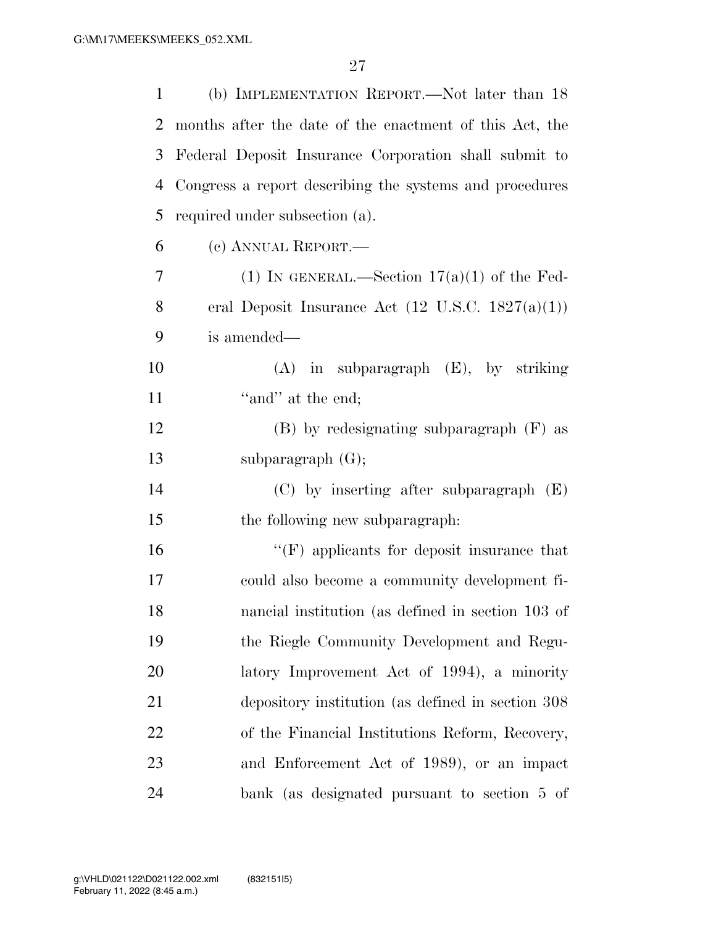| 1              | (b) IMPLEMENTATION REPORT.—Not later than 18                 |
|----------------|--------------------------------------------------------------|
| 2              | months after the date of the enactment of this Act, the      |
| 3              | Federal Deposit Insurance Corporation shall submit to        |
| 4              | Congress a report describing the systems and procedures      |
| 5              | required under subsection (a).                               |
| 6              | (c) ANNUAL REPORT.—                                          |
| $\overline{7}$ | (1) IN GENERAL.—Section $17(a)(1)$ of the Fed-               |
| 8              | eral Deposit Insurance Act $(12 \text{ U.S.C. } 1827(a)(1))$ |
| 9              | is amended—                                                  |
| 10             | $(A)$ in subparagraph $(E)$ , by striking                    |
| 11             | "and" at the end;                                            |
| 12             | $(B)$ by redesignating subparagraph $(F)$ as                 |
| 13             | subparagraph $(G);$                                          |
| 14             | $(C)$ by inserting after subparagraph $(E)$                  |
| 15             | the following new subparagraph:                              |
| 16             | $\lq\lq(F)$ applicants for deposit insurance that            |
| 17             | could also become a community development fi-                |
| 18             | nancial institution (as defined in section 103 of            |
| 19             | the Riegle Community Development and Regu-                   |
| 20             | latory Improvement Act of 1994), a minority                  |
| 21             | depository institution (as defined in section 308)           |
| 22             | of the Financial Institutions Reform, Recovery,              |
| 23             | and Enforcement Act of 1989), or an impact                   |
| 24             | bank (as designated pursuant to section 5 of                 |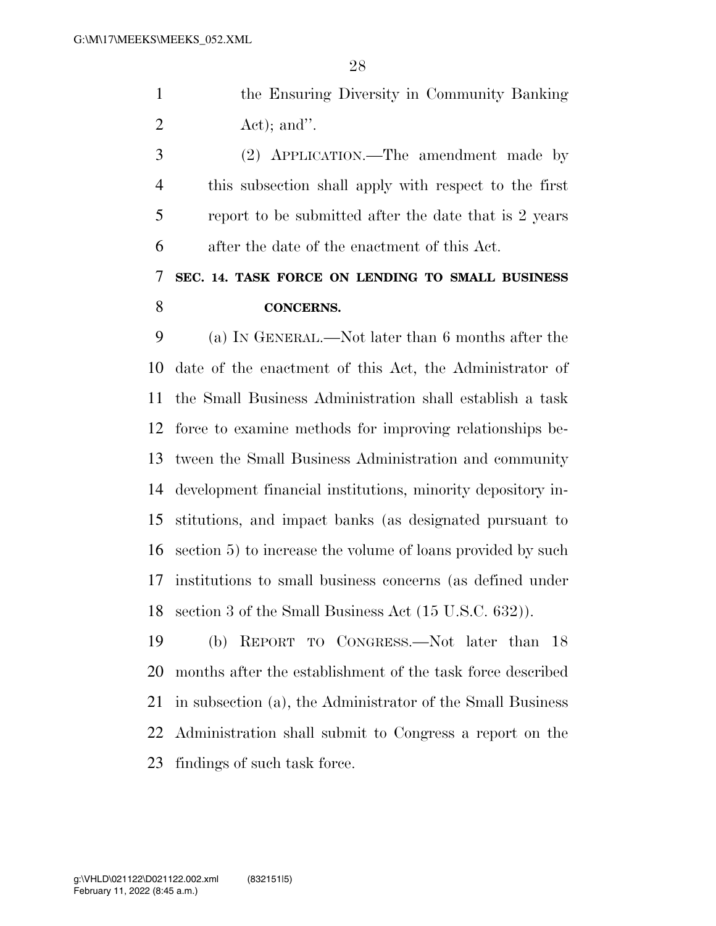the Ensuring Diversity in Community Banking  $2 \text{ Act}$ ; and".

 (2) APPLICATION.—The amendment made by this subsection shall apply with respect to the first report to be submitted after the date that is 2 years after the date of the enactment of this Act.

## **SEC. 14. TASK FORCE ON LENDING TO SMALL BUSINESS CONCERNS.**

 (a) IN GENERAL.—Not later than 6 months after the date of the enactment of this Act, the Administrator of the Small Business Administration shall establish a task force to examine methods for improving relationships be- tween the Small Business Administration and community development financial institutions, minority depository in- stitutions, and impact banks (as designated pursuant to section 5) to increase the volume of loans provided by such institutions to small business concerns (as defined under section 3 of the Small Business Act (15 U.S.C. 632)).

 (b) REPORT TO CONGRESS.—Not later than 18 months after the establishment of the task force described in subsection (a), the Administrator of the Small Business Administration shall submit to Congress a report on the findings of such task force.